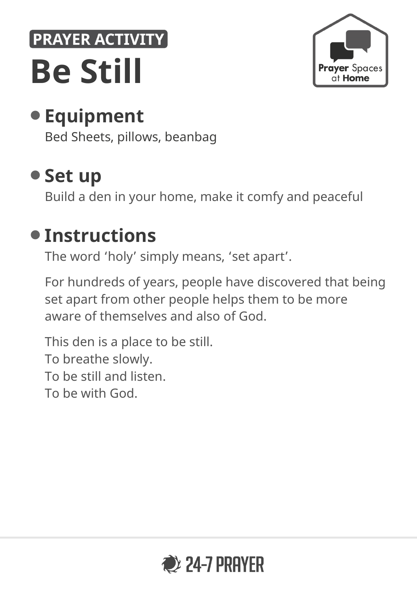# **PRAYER ACTIVITY Be Still**



# • **Equipment**

Bed Sheets, pillows, beanbag

## • **Set up**

Build a den in your home, make it comfy and peaceful

#### • **Instructions**

The word 'holy' simply means, 'set apart'.

For hundreds of years, people have discovered that being set apart from other people helps them to be more aware of themselves and also of God.

This den is a place to be still. To breathe slowly. To be still and listen. To be with God.

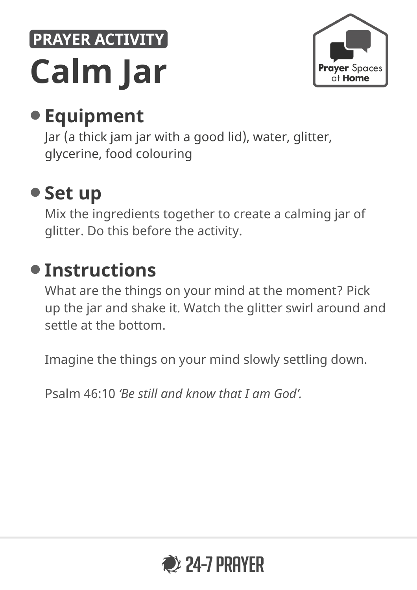# PRAYER ACTIVITY **Calm Jar**



# • **Equipment**

Jar (a thick jam jar with a good lid), water, glitter, glycerine, food colouring

## • **Set up**

Mix the ingredients together to create a calming jar of glitter. Do this before the activity.

# • **Instructions**

What are the things on your mind at the moment? Pick up the jar and shake it. Watch the glitter swirl around and settle at the bottom.

Imagine the things on your mind slowly settling down.

Psalm 46:10 *'Be still and know that I am God'.*

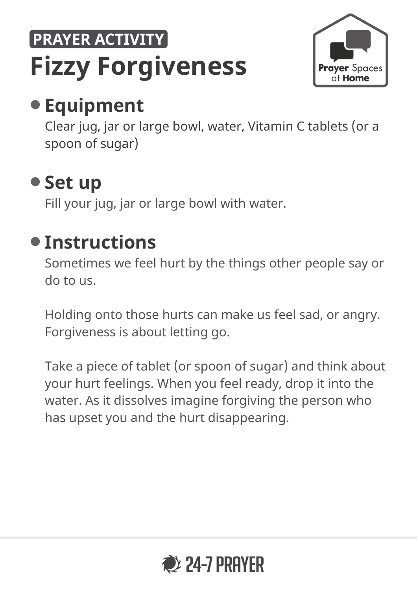# **PRAYER ACTIVITY Fizzy Forgiveness**



# • **Equipment**

Clear jug, jar or large bowl, water, Vitamin C tablets (or a spoon of sugar)

## • **Set up**

Fill your jug, jar or large bowl with water.

#### • **Instructions**

Sometimes we feel hurt by the things other people say or do to us.

Holding onto those hurts can make us feel sad, or angry. Forgiveness is about letting go.

Take a piece of tablet (or spoon of sugar) and think about your hurt feelings. When you feel ready, drop it into the water. As it dissolves imagine forgiving the person who has upset you and the hurt disappearing.

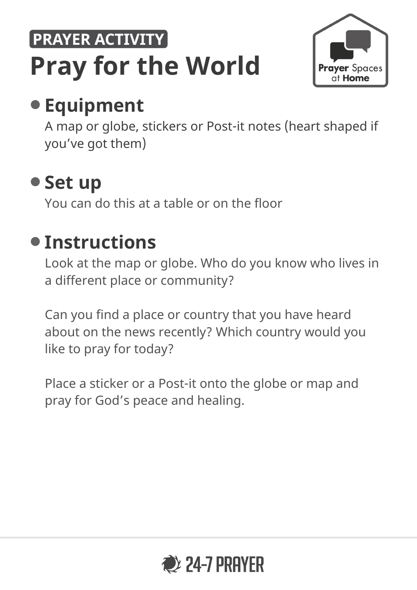# **PRAYER ACTIVITY Pray for the World**



# • **Equipment**

A map or globe, stickers or Post-it notes (heart shaped if you've got them)

# • **Set up**

You can do this at a table or on the floor

## • **Instructions**

Look at the map or globe. Who do you know who lives in a different place or community?

Can you find a place or country that you have heard about on the news recently? Which country would you like to pray for today?

Place a sticker or a Post-it onto the globe or map and pray for God's peace and healing.

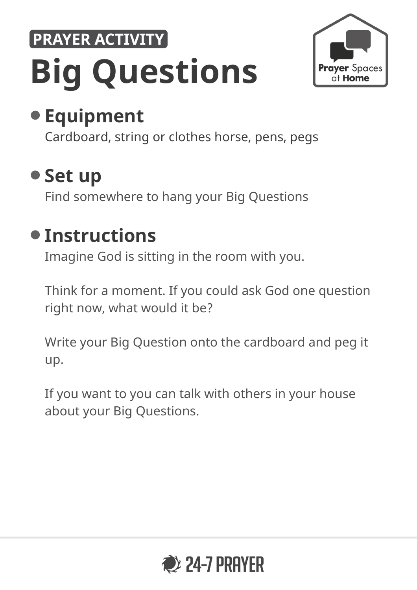# PRAYER ACTIVITY **Big Questions**



# • **Equipment**

Cardboard, string or clothes horse, pens, pegs

#### • **Set up**

Find somewhere to hang your Big Questions

#### • **Instructions**

Imagine God is sitting in the room with you.

Think for a moment. If you could ask God one question right now, what would it be?

Write your Big Question onto the cardboard and peg it up.

If you want to you can talk with others in your house about your Big Questions.